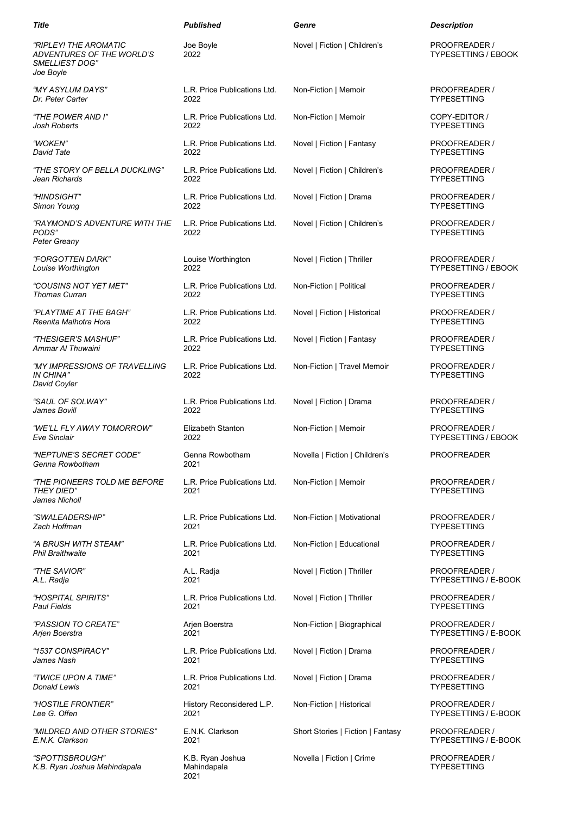| Title                                                                                           | <b>Published</b>                     | Genre                             | <b>Description</b>                          |
|-------------------------------------------------------------------------------------------------|--------------------------------------|-----------------------------------|---------------------------------------------|
| "RIPLEY! THE AROMATIC<br><i>ADVENTURES OF THE WORLD'S</i><br><b>SMELLIEST DOG"</b><br>Joe Boyle | Joe Boyle<br>2022                    | Novel   Fiction   Children's      | PROOFREADER /<br><b>TYPESETTING / EBOOK</b> |
| "MY ASYLUM DAYS"                                                                                | L.R. Price Publications Ltd.         | Non-Fiction   Memoir              | PROOFREADER /                               |
| Dr. Peter Carter                                                                                | 2022                                 |                                   | <b>TYPESETTING</b>                          |
| "THE POWER AND I"                                                                               | L.R. Price Publications Ltd.         | Non-Fiction   Memoir              | COPY-EDITOR /                               |
| Josh Roberts                                                                                    | 2022                                 |                                   | <b>TYPESETTING</b>                          |
| "WOKEN"                                                                                         | L.R. Price Publications Ltd.         | Novel   Fiction   Fantasy         | PROOFREADER /                               |
| David Tate                                                                                      | 2022                                 |                                   | <b>TYPESETTING</b>                          |
| "THE STORY OF BELLA DUCKLING"                                                                   | L.R. Price Publications Ltd.         | Novel   Fiction   Children's      | PROOFREADER /                               |
| Jean Richards                                                                                   | 2022                                 |                                   | <b>TYPESETTING</b>                          |
| "HINDSIGHT"                                                                                     | L.R. Price Publications Ltd.         | Novel   Fiction   Drama           | PROOFREADER /                               |
| Simon Young                                                                                     | 2022                                 |                                   | <b>TYPESETTING</b>                          |
| "RAYMOND'S ADVENTURE WITH THE<br>PODS"<br>Peter Greany                                          | L.R. Price Publications Ltd.<br>2022 | Novel   Fiction   Children's      | PROOFREADER /<br><b>TYPESETTING</b>         |
| "FORGOTTEN DARK"                                                                                | Louise Worthington                   | Novel   Fiction   Thriller        | PROOFREADER /                               |
| Louise Worthington                                                                              | 2022                                 |                                   | <b>TYPESETTING / EBOOK</b>                  |
| "COUSINS NOT YET MET"                                                                           | L.R. Price Publications Ltd.         | Non-Fiction   Political           | PROOFREADER /                               |
| <b>Thomas Curran</b>                                                                            | 2022                                 |                                   | <b>TYPESETTING</b>                          |
| "PLAYTIME AT THE BAGH"                                                                          | L.R. Price Publications Ltd.         | Novel   Fiction   Historical      | PROOFREADER /                               |
| Reenita Malhotra Hora                                                                           | 2022                                 |                                   | <b>TYPESETTING</b>                          |
| "THESIGER'S MASHUF"                                                                             | L.R. Price Publications Ltd.         | Novel   Fiction   Fantasy         | PROOFREADER /                               |
| Ammar AI Thuwaini                                                                               | 2022                                 |                                   | <b>TYPESETTING</b>                          |
| "MY IMPRESSIONS OF TRAVELLING<br>IN CHINA"<br>David Coyler                                      | L.R. Price Publications Ltd.<br>2022 | Non-Fiction   Travel Memoir       | PROOFREADER /<br><b>TYPESETTING</b>         |
| "SAUL OF SOLWAY"                                                                                | L.R. Price Publications Ltd.         | Novel   Fiction   Drama           | PROOFREADER /                               |
| James Bovill                                                                                    | 2022                                 |                                   | <b>TYPESETTING</b>                          |
| "WE'LL FLY AWAY TOMORROW"                                                                       | Elizabeth Stanton                    | Non-Fiction   Memoir              | PROOFREADER /                               |
| <b>Eve Sinclair</b>                                                                             | 2022                                 |                                   | <b>TYPESETTING / EBOOK</b>                  |
| "NEPTUNE'S SECRET CODE"<br>Genna Rowbotham                                                      | Genna Rowbotham<br>2021              | Novella   Fiction   Children's    | PROOFREADER                                 |
| <i>"THE PIONEERS TOLD ME BEFORE</i><br><i>THEY DIED"</i><br>James Nicholl                       | L.R. Price Publications Ltd.<br>2021 | Non-Fiction   Memoir              | PROOFREADER /<br><b>TYPESETTING</b>         |
| "SWALEADERSHIP"                                                                                 | L.R. Price Publications Ltd.         | Non-Fiction   Motivational        | PROOFREADER /                               |
| Zach Hoffman                                                                                    | 2021                                 |                                   | <b>TYPESETTING</b>                          |
| "A BRUSH WITH STEAM"                                                                            | L.R. Price Publications Ltd.         | Non-Fiction   Educational         | PROOFREADER /                               |
| <b>Phil Braithwaite</b>                                                                         | 2021                                 |                                   | <b>TYPESETTING</b>                          |
| "THE SAVIOR"                                                                                    | A.L. Radja                           | Novel   Fiction   Thriller        | PROOFREADER /                               |
| A.L. Radja                                                                                      | 2021                                 |                                   | TYPESETTING / E-BOOK                        |
| "HOSPITAL SPIRITS"                                                                              | L.R. Price Publications Ltd.         | Novel   Fiction   Thriller        | PROOFREADER /                               |
| <b>Paul Fields</b>                                                                              | 2021                                 |                                   | <b>TYPESETTING</b>                          |
| "PASSION TO CREATE"                                                                             | Arjen Boerstra                       | Non-Fiction   Biographical        | PROOFREADER /                               |
| Arjen Boerstra                                                                                  | 2021                                 |                                   | TYPESETTING / E-BOOK                        |
| "1537 CONSPIRACY"                                                                               | L.R. Price Publications Ltd.         | Novel   Fiction   Drama           | PROOFREADER /                               |
| James Nash                                                                                      | 2021                                 |                                   | <b>TYPESETTING</b>                          |
| "TWICE UPON A TIME"                                                                             | L.R. Price Publications Ltd.         | Novel   Fiction   Drama           | PROOFREADER /                               |
| Donald Lewis                                                                                    | 2021                                 |                                   | <b>TYPESETTING</b>                          |
| "HOSTILE FRONTIER"                                                                              | History Reconsidered L.P.            | Non-Fiction   Historical          | PROOFREADER /                               |
| Lee G. Offen                                                                                    | 2021                                 |                                   | <b>TYPESETTING / E-BOOK</b>                 |
| "MILDRED AND OTHER STORIES"                                                                     | E.N.K. Clarkson                      | Short Stories   Fiction   Fantasy | PROOFREADER /                               |
| E.N.K. Clarkson                                                                                 | 2021                                 |                                   | <b>TYPESETTING / E-BOOK</b>                 |
| "SPOTTISBROUGH"                                                                                 | K.B. Ryan Joshua                     | Novella   Fiction   Crime         | PROOFREADER /                               |
| K.B. Ryan Joshua Mahindapala                                                                    | Mahindapala                          |                                   | <b>TYPESETTING</b>                          |

2021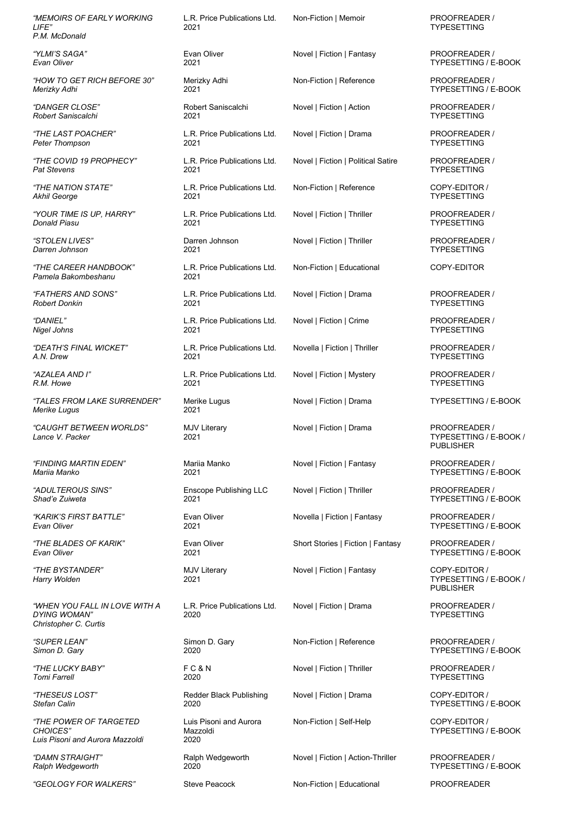*"MEMOIRS OF EARLY WORKING LIFE" P.M. McDonald*

*"YLMI'S SAGA" Evan Oliver*

*"HOW TO GET RICH BEFORE 30" Merizky Adhi*

*"DANGER CLOSE" Robert Saniscalchi*

*"THE LAST POACHER" Peter Thompson*

*"THE COVID 19 PROPHECY" Pat Stevens*

*"THE NATION STATE" Akhil George*

*"YOUR TIME IS UP, HARRY" Donald Piasu*

*"STOLEN LIVES" Darren Johnson*

*"THE CAREER HANDBOOK" Pamela Bakombeshanu*

*"FATHERS AND SONS" Robert Donkin*

*"DANIEL" Nigel Johns*

*"DEATH'S FINAL WICKET" A.N. Drew*

- *"AZALEA AND I" R.M. Howe*
- *"TALES FROM LAKE SURRENDER" Merike Lugus*

*"CAUGHT BETWEEN WORLDS" Lance V. Packer*

*"FINDING MARTIN EDEN" Mariia Manko*

*"ADULTEROUS SINS" Shad'e Zuiweta*

*"KARIK'S FIRST BATTLE" Evan Oliver*

*"THE BLADES OF KARIK" Evan Oliver*

*"THE BYSTANDER" Harry Wolden*

*"WHEN YOU FALL IN LOVE WITH A DYING WOMAN" Christopher C. Curtis*

*"SUPER LEAN" Simon D. Gary*

*"THE LUCKY BABY" Tomi Farrell*

*"THESEUS LOST" Stefan Calin*

*"THE POWER OF TARGETED CHOICES" Luis Pisoni and Aurora Mazzoldi*

*"DAMN STRAIGHT" Ralph Wedgeworth*

*"GEOLOGY FOR WALKERS"*

L.R. Price Publications Ltd. 2021

Evan Oliver 2021

Merizky Adhi 2021

Robert Saniscalchi 2021

L.R. Price Publications Ltd. 2021

L.R. Price Publications Ltd. 2021

L.R. Price Publications Ltd. 2021

L.R. Price Publications Ltd. 2021

Darren Johnson 2021

L.R. Price Publications Ltd. 2021

L.R. Price Publications Ltd. 2021

L.R. Price Publications Ltd. 2021

L.R. Price Publications Ltd. 2021

L.R. Price Publications Ltd. 2021

Merike Lugus 2021

MJV Literary 2021

Mariia Manko 2021

Enscope Publishing LLC 2021

Evan Oliver 2021

Evan Oliver 2021

MJV Literary 2021

L.R. Price Publications Ltd. 2020

Simon D. Gary 2020

F C & N 2020

Redder Black Publishing 2020

Luis Pisoni and Aurora Mazzoldi 2020

Ralph Wedgeworth 2020

Steve Peacock

Non-Fiction | Memoir

Novel | Fiction | Fantasy

Non-Fiction | Reference

Novel | Fiction | Action

Novel | Fiction | Drama

Novel | Fiction | Political Satire

Non-Fiction | Reference

Novel | Fiction | Thriller

Novel | Fiction | Thriller

Non-Fiction | Educational

Novel | Fiction | Drama

Novel | Fiction | Crime

Novella | Fiction | Thriller

Novel | Fiction | Mystery

Novel | Fiction | Drama

Novel | Fiction | Drama

Novel | Fiction | Fantasy

Novel | Fiction | Thriller

Novella | Fiction | Fantasy

Short Stories | Fiction | Fantasy

Novel | Fiction | Fantasy

Novel | Fiction | Drama

Non-Fiction | Reference

Novel | Fiction | Thriller

Novel | Fiction | Drama

Non-Fiction | Self-Help

Novel | Fiction | Action-Thriller

Non-Fiction | Educational

PROOFREADER / TYPESETTING

PROOFREADER / TYPESETTING / E-BOOK

PROOFREADER / TYPESETTING / E-BOOK

PROOFREADER / TYPESETTING

PROOFREADER / TYPESETTING

PROOFREADER / TYPESETTING

COPY-EDITOR / TYPESETTING

PROOFREADER / TYPESETTING

PROOFREADER / TYPESETTING

COPY-EDITOR

PROOFREADER / TYPESETTING

PROOFREADER / TYPESETTING

PROOFREADER / TYPESETTING

PROOFREADER / TYPESETTING

PROOFREADER / TYPESETTING / E-BOOK /

PROOFREADER / TYPESETTING / E-BOOK

PROOFREADER / TYPESETTING / E-BOOK

PROOFREADER / TYPESETTING / E-BOOK

PROOFREADER / TYPESETTING / E-BOOK

COPY-EDITOR /

PROOFREADER / TYPESETTING

PROOFREADER / TYPESETTING / E-BOOK

PROOFREADER / TYPESETTING COPY-EDITOR / TYPESETTING / E-BOOK

COPY-EDITOR / TYPESETTING / E-BOOK

PROOFREADER / TYPESETTING / E-BOOK

**PROOFREADER** 

PUBLISHER

TYPESETTING / E-BOOK /

PUBLISHER

TYPESETTING / E-BOOK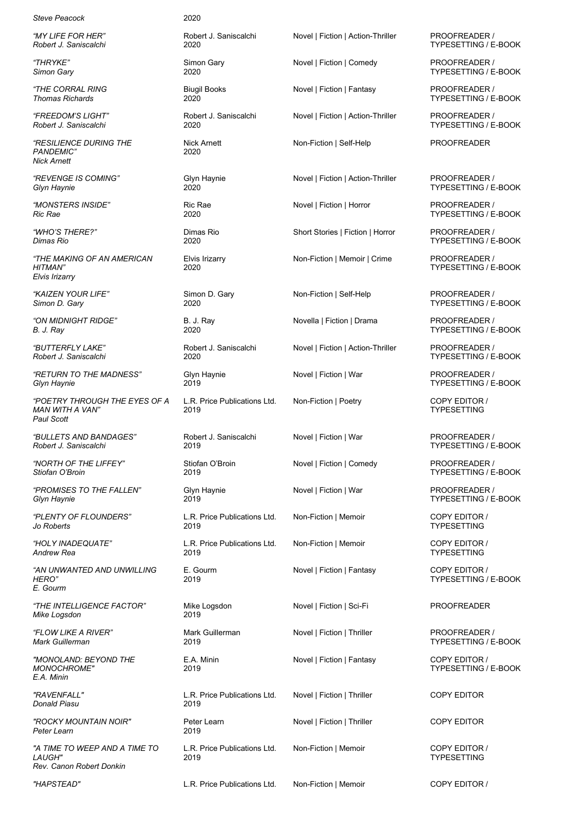*Steve Peacock*

*"MY LIFE FOR HER" Robert J. Saniscalchi*

*"THRYKE" Simon Gary*

*"THE CORRAL RING Thomas Richards*

*"FREEDOM'S LIGHT" Robert J. Saniscalchi*

*"RESILIENCE DURING THE PANDEMIC" Nick Arnett*

*"REVENGE IS COMING" Glyn Haynie*

*"MONSTERS INSIDE" Ric Rae*

*"WHO'S THERE?" Dimas Rio*

*"THE MAKING OF AN AMERICAN HITMAN" Elvis Irizarry*

*"KAIZEN YOUR LIFE" Simon D. Gary*

*"ON MIDNIGHT RIDGE" B. J. Ray*

*"BUTTERFLY LAKE" Robert J. Saniscalchi*

*"RETURN TO THE MADNESS" Glyn Haynie*

*"POETRY THROUGH THE EYES OF A MAN WITH A VAN" Paul Scott* 

*"BULLETS AND BANDAGES" Robert J. Saniscalchi*

*"NORTH OF THE LIFFEY" Stiofan O'Broin*

*"PROMISES TO THE FALLEN" Glyn Haynie*

*"PLENTY OF FLOUNDERS" Jo Roberts*

*"HOLY INADEQUATE" Andrew Rea*

*"AN UNWANTED AND UNWILLING HERO" E. Gourm*

*"THE INTELLIGENCE FACTOR" Mike Logsdon*

*"FLOW LIKE A RIVER" Mark Guillerman*

*"MONOLAND: BEYOND THE MONOCHROME" E.A. Minin*

*"RAVENFALL" Donald Piasu*

*"ROCKY MOUNTAIN NOIR" Peter Learn*

*"A TIME TO WEEP AND A TIME TO LAUGH" Rev. Canon Robert Donkin*

*"HAPSTEAD"*

## 2020

Robert J. Saniscalchi 2020

Simon Gary 2020

> Biugil Books 2020

Robert J. Saniscalchi 2020

Nick Arnett 2020

Glyn Haynie 2020

Ric Rae 2020

Dimas Rio 2020

Elvis Irizarry 2020

Simon D. Gary 2020

B. J. Ray 2020

Robert J. Saniscalchi 2020

Glyn Haynie 2019

L.R. Price Publications Ltd. 2019

Robert J. Saniscalchi 2019

Stiofan O'Broin 2019

Glyn Haynie 2019

L.R. Price Publications Ltd. 2019

L.R. Price Publications Ltd. 2019

E. Gourm 2019

Mike Logsdon 2019

Mark Guillerman 2019

E.A. Minin 2019

L.R. Price Publications Ltd. 2019

Peter Learn 2019

L.R. Price Publications Ltd. 2019

L.R. Price Publications Ltd.

Novel | Fiction | Action-Thriller

Novel | Fiction | Comedy

Novel | Fiction | Fantasy

Novel | Fiction | Action-Thriller

Non-Fiction | Self-Help

Novel | Fiction | Action-Thriller

Novel | Fiction | Horror

Short Stories | Fiction | Horror

Non-Fiction | Memoir | Crime

Non-Fiction | Self-Help

Novella | Fiction | Drama

Novel | Fiction | Action-Thriller

Novel | Fiction | War

Non-Fiction | Poetry

Novel | Fiction | War

Novel | Fiction | Comedy

Novel | Fiction | War

Non-Fiction | Memoir

Non-Fiction | Memoir

Novel | Fiction | Fantasy

Novel | Fiction | Sci-Fi

Novel | Fiction | Thriller

Novel | Fiction | Fantasy

Novel | Fiction | Thriller

Novel | Fiction | Thriller

Non-Fiction | Memoir

Non-Fiction | Memoir

PROOFREADER / TYPESETTING / E-BOOK

PROOFREADER / TYPESETTING / E-BOOK

PROOFREADER / TYPESETTING / E-BOOK

PROOFREADER / TYPESETTING / E-BOOK

PROOFREADER

PROOFREADER / TYPESETTING / E-BOOK

PROOFREADER / TYPESETTING / E-BOOK

PROOFREADER / TYPESETTING / E-BOOK

PROOFREADER / TYPESETTING / E-BOOK

PROOFREADER / TYPESETTING / E-BOOK

PROOFREADER / TYPESETTING / E-BOOK

PROOFREADER / TYPESETTING / E-BOOK

PROOFREADER / TYPESETTING / E-BOOK

COPY EDITOR / TYPESETTING

PROOFREADER / TYPESETTING / E-BOOK

PROOFREADER / TYPESETTING / E-BOOK

PROOFREADER / TYPESETTING / E-BOOK

COPY EDITOR / TYPESETTING

COPY EDITOR / TYPESETTING

COPY EDITOR / TYPESETTING / E-BOOK

PROOFREADER

PROOFREADER / TYPESETTING / E-BOOK

COPY EDITOR / TYPESETTING / E-BOOK

COPY EDITOR

COPY EDITOR

COPY EDITOR / TYPESETTING

COPY EDITOR /